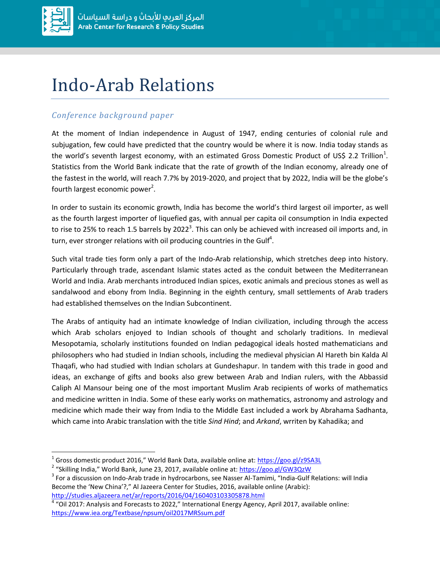

 $\overline{\phantom{a}}$ 

## Indo-Arab Relations

## *Conference background paper*

At the moment of Indian independence in August of 1947, ending centuries of colonial rule and subjugation, few could have predicted that the country would be where it is now. India today stands as the world's seventh largest economy, with an estimated Gross Domestic Product of US\$ 2.2 Trillion<sup>1</sup>. Statistics from the World Bank indicate that the rate of growth of the Indian economy, already one of the fastest in the world, will reach 7.7% by 2019-2020, and project that by 2022, India will be the globe's fourth largest economic power<sup>2</sup>.

In order to sustain its economic growth, India has become the world's third largest oil importer, as well as the fourth largest importer of liquefied gas, with annual per capita oil consumption in India expected to rise to 25% to reach 1.5 barrels by 2022<sup>3</sup>. This can only be achieved with increased oil imports and, in turn, ever stronger relations with oil producing countries in the Gulf $^4$ .

Such vital trade ties form only a part of the Indo-Arab relationship, which stretches deep into history. Particularly through trade, ascendant Islamic states acted as the conduit between the Mediterranean World and India. Arab merchants introduced Indian spices, exotic animals and precious stones as well as sandalwood and ebony from India. Beginning in the eighth century, small settlements of Arab traders had established themselves on the Indian Subcontinent.

The Arabs of antiquity had an intimate knowledge of Indian civilization, including through the access which Arab scholars enjoyed to Indian schools of thought and scholarly traditions. In medieval Mesopotamia, scholarly institutions founded on Indian pedagogical ideals hosted mathematicians and philosophers who had studied in Indian schools, including the medieval physician Al Hareth bin Kalda Al Thaqafi, who had studied with Indian scholars at Gundeshapur. In tandem with this trade in good and ideas, an exchange of gifts and books also grew between Arab and Indian rulers, with the Abbassid Caliph Al Mansour being one of the most important Muslim Arab recipients of works of mathematics and medicine written in India. Some of these early works on mathematics, astronomy and astrology and medicine which made their way from India to the Middle East included a work by Abrahama Sadhanta, which came into Arabic translation with the title *Sind Hind*; and *Arkand*, wrriten by Kahadika; and

<sup>&</sup>lt;sup>1</sup> Gross domestic product 2016," World Bank Data, available online at: <https://goo.gl/z9SA3L>

<sup>&</sup>lt;sup>2</sup> "Skilling India," World Bank, June 23, 2017, available online at: <https://goo.gl/GW3QzW>

 $^3$  For a discussion on Indo-Arab trade in hydrocarbons, see Nasser Al-Tamimi, "India-Gulf Relations: will India Become the 'New China'?," Al Jazeera Center for Studies, 2016, available online (Arabic): <http://studies.aljazeera.net/ar/reports/2016/04/160403103305878.html>

<sup>&</sup>lt;sup>4</sup> "Oil 2017: Analysis and Forecasts to 2022," International Energy Agency, April 2017, available online: <https://www.iea.org/Textbase/npsum/oil2017MRSsum.pdf>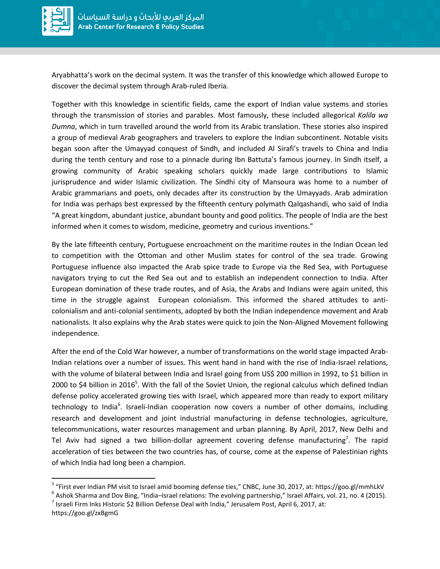

 $\overline{a}$ 

Aryabhatta's work on the decimal system. It was the transfer of this knowledge which allowed Europe to discover the decimal system through Arab-ruled Iberia.

Together with this knowledge in scientific fields, came the export of Indian value systems and stories through the transmission of stories and parables. Most famously, these included allegorical *Kalila wa Dumna*, which in turn travelled around the world from its Arabic translation. These stories also inspired a group of medieval Arab geographers and travelers to explore the Indian subcontinent. Notable visits began soon after the Umayyad conquest of Sindh, and included Al Sirafi's travels to China and India during the tenth century and rose to a pinnacle during Ibn Battuta's famous journey. In Sindh itself, a growing community of Arabic speaking scholars quickly made large contributions to Islamic jurisprudence and wider Islamic civilization. The Sindhi city of Mansoura was home to a number of Arabic grammarians and poets, only decades after its construction by the Umayyads. Arab admiration for India was perhaps best expressed by the fifteenth century polymath Qalqashandi, who said of India "A great kingdom, abundant justice, abundant bounty and good politics. The people of India are the best informed when it comes to wisdom, medicine, geometry and curious inventions."

By the late fifteenth century, Portuguese encroachment on the maritime routes in the Indian Ocean led to competition with the Ottoman and other Muslim states for control of the sea trade. Growing Portuguese influence also impacted the Arab spice trade to Europe via the Red Sea, with Portuguese navigators trying to cut the Red Sea out and to establish an independent connection to India. After European domination of these trade routes, and of Asia, the Arabs and Indians were again united, this time in the struggle against European colonialism. This informed the shared attitudes to anticolonialism and anti-colonial sentiments, adopted by both the Indian independence movement and Arab nationalists. It also explains why the Arab states were quick to join the Non-Aligned Movement following independence.

After the end of the Cold War however, a number of transformations on the world stage impacted Arab-Indian relations over a number of issues. This went hand in hand with the rise of India-Israel relations, with the volume of bilateral between India and Israel going from US\$ 200 million in 1992, to \$1 billion in 2000 to \$4 billion in 2016<sup>5</sup>. With the fall of the Soviet Union, the regional calculus which defined Indian defense policy accelerated growing ties with Israel, which appeared more than ready to export military technology to India<sup>6</sup>. Israeli-Indian cooperation now covers a number of other domains, including research and development and joint industrial manufacturing in defense technologies, agriculture, telecommunications, water resources management and urban planning. By April, 2017, New Delhi and Tel Aviv had signed a two billion-dollar agreement covering defense manufacturing<sup>7</sup>. The rapid acceleration of ties between the two countries has, of course, come at the expense of Palestinian rights of which India had long been a champion.

<sup>&</sup>lt;sup>5</sup> "First ever Indian PM visit to Israel amid booming defense ties," CNBC, June 30, 2017, at: https://goo.gl/mmhLkV

 $^6$  Ashok Sharma and Dov Bing, "India–Israel relations: The evolving partnership," Israel Affairs, vol. 21, no. 4 (2015).

<sup>&</sup>lt;sup>7</sup> Israeli Firm Inks Historic \$2 Billion Defense Deal with India," Jerusalem Post, April 6, 2017, at: https://goo.gl/zxBgmG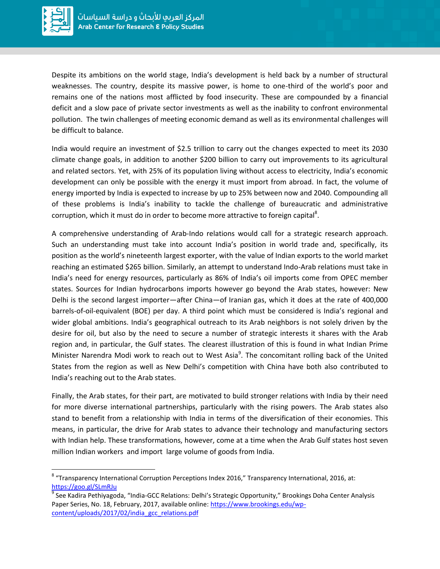

l

Despite its ambitions on the world stage, India's development is held back by a number of structural weaknesses. The country, despite its massive power, is home to one-third of the world's poor and remains one of the nations most afflicted by food insecurity. These are compounded by a financial deficit and a slow pace of private sector investments as well as the inability to confront environmental pollution. The twin challenges of meeting economic demand as well as its environmental challenges will be difficult to balance.

India would require an investment of \$2.5 trillion to carry out the changes expected to meet its 2030 climate change goals, in addition to another \$200 billion to carry out improvements to its agricultural and related sectors. Yet, with 25% of its population living without access to electricity, India's economic development can only be possible with the energy it must import from abroad. In fact, the volume of energy imported by India is expected to increase by up to 25% between now and 2040. Compounding all of these problems is India's inability to tackle the challenge of bureaucratic and administrative corruption, which it must do in order to become more attractive to foreign capital<sup>8</sup>.

A comprehensive understanding of Arab-Indo relations would call for a strategic research approach. Such an understanding must take into account India's position in world trade and, specifically, its position as the world's nineteenth largest exporter, with the value of Indian exports to the world market reaching an estimated \$265 billion. Similarly, an attempt to understand Indo-Arab relations must take in India's need for energy resources, particularly as 86% of India's oil imports come from OPEC member states. Sources for Indian hydrocarbons imports however go beyond the Arab states, however: New Delhi is the second largest importer—after China—of Iranian gas, which it does at the rate of 400,000 barrels-of-oil-equivalent (BOE) per day. A third point which must be considered is India's regional and wider global ambitions. India's geographical outreach to its Arab neighbors is not solely driven by the desire for oil, but also by the need to secure a number of strategic interests it shares with the Arab region and, in particular, the Gulf states. The clearest illustration of this is found in what Indian Prime Minister Narendra Modi work to reach out to West Asia<sup>9</sup>. The concomitant rolling back of the United States from the region as well as New Delhi's competition with China have both also contributed to India's reaching out to the Arab states.

Finally, the Arab states, for their part, are motivated to build stronger relations with India by their need for more diverse international partnerships, particularly with the rising powers. The Arab states also stand to benefit from a relationship with India in terms of the diversification of their economies. This means, in particular, the drive for Arab states to advance their technology and manufacturing sectors with Indian help. These transformations, however, come at a time when the Arab Gulf states host seven million Indian workers and import large volume of goods from India.

<sup>&</sup>lt;sup>8</sup> "Transparency International Corruption Perceptions Index 2016," Transparency International, 2016, at: <https://goo.gl/SLmRJu>

<sup>&</sup>lt;sup>9</sup> See Kadira Pethiyagoda, "India-GCC Relations: Delhi's Strategic Opportunity," Brookings Doha Center Analysis Paper Series, No. 18, February, 2017, available online: [https://www.brookings.edu/wp](https://www.brookings.edu/wp-content/uploads/2017/02/india_gcc_relations.pdf)[content/uploads/2017/02/india\\_gcc\\_relations.pdf](https://www.brookings.edu/wp-content/uploads/2017/02/india_gcc_relations.pdf)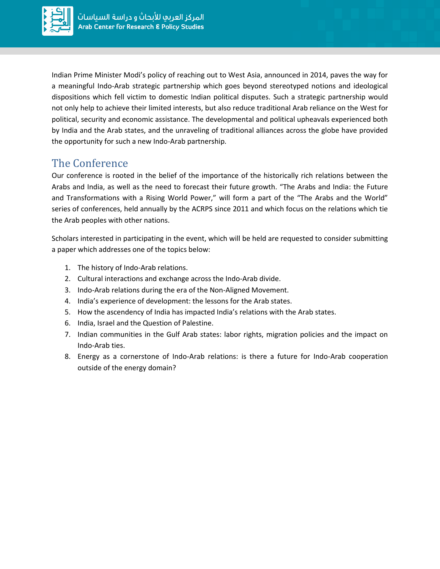

Indian Prime Minister Modi's policy of reaching out to West Asia, announced in 2014, paves the way for a meaningful Indo-Arab strategic partnership which goes beyond stereotyped notions and ideological dispositions which fell victim to domestic Indian political disputes. Such a strategic partnership would not only help to achieve their limited interests, but also reduce traditional Arab reliance on the West for political, security and economic assistance. The developmental and political upheavals experienced both by India and the Arab states, and the unraveling of traditional alliances across the globe have provided the opportunity for such a new Indo-Arab partnership.

## The Conference

Our conference is rooted in the belief of the importance of the historically rich relations between the Arabs and India, as well as the need to forecast their future growth. "The Arabs and India: the Future and Transformations with a Rising World Power," will form a part of the "The Arabs and the World" series of conferences, held annually by the ACRPS since 2011 and which focus on the relations which tie the Arab peoples with other nations.

Scholars interested in participating in the event, which will be held are requested to consider submitting a paper which addresses one of the topics below:

- 1. The history of Indo-Arab relations.
- 2. Cultural interactions and exchange across the Indo-Arab divide.
- 3. Indo-Arab relations during the era of the Non-Aligned Movement.
- 4. India's experience of development: the lessons for the Arab states.
- 5. How the ascendency of India has impacted India's relations with the Arab states.
- 6. India, Israel and the Question of Palestine.
- 7. Indian communities in the Gulf Arab states: labor rights, migration policies and the impact on Indo-Arab ties.
- 8. Energy as a cornerstone of Indo-Arab relations: is there a future for Indo-Arab cooperation outside of the energy domain?